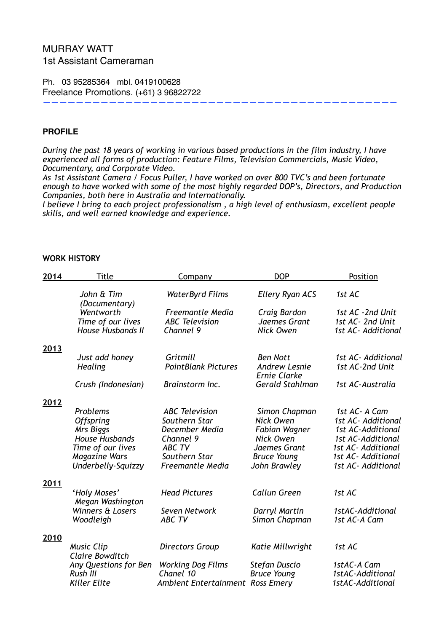# MURRAY WATT 1st Assistant Cameraman

Ph. 03 95285364 mbl. 0419100628 Freelance Promotions. (+61) 3 96822722

#### **PROFILE**

*During the past 18 years of working in various based productions in the film industry, I have experienced all forms of production: Feature Films, Television Commercials, Music Video, Documentary, and Corporate Video.* 

———————————————————————————————————————————

*As 1st Assistant Camera / Focus Puller, I have worked on over 800 TVC's and been fortunate enough to have worked with some of the most highly regarded DOP's, Directors, and Production Companies, both here in Australia and Internationally.* 

*I believe I bring to each project professionalism , a high level of enthusiasm, excellent people skills, and well earned knowledge and experience.* 

#### **WORK HISTORY**

| 2014        | <b>Title</b>                                | Company                                          | <b>DOP</b>                                                     | Position                                |
|-------------|---------------------------------------------|--------------------------------------------------|----------------------------------------------------------------|-----------------------------------------|
|             | John & Tim<br>(Documentary)                 | <b>WaterByrd Films</b>                           | <b>Ellery Ryan ACS</b>                                         | 1st AC                                  |
|             | Wentworth<br>Time of our lives              | <b>Freemantle Media</b><br><b>ABC</b> Television | Craig Bardon<br>Jaemes Grant                                   | 1st AC -2nd Unit<br>1st AC- 2nd Unit    |
|             | <b>House Husbands II</b>                    | Channel 9                                        | <b>Nick Owen</b>                                               | 1st AC- Additional                      |
| <u>2013</u> |                                             |                                                  |                                                                |                                         |
|             | Just add honey<br><b>Healing</b>            | Gritmill<br><b>PointBlank Pictures</b>           | <b>Ben Nott</b><br><b>Andrew Lesnie</b><br><b>Ernie Clarke</b> | 1st AC- Additional<br>1st AC-2nd Unit   |
|             | Crush (Indonesian)                          | Brainstorm Inc.                                  | <b>Gerald Stahlman</b>                                         | 1st AC-Australia                        |
| <u>2012</u> |                                             |                                                  |                                                                |                                         |
|             | Problems                                    | <b>ABC</b> Television                            | Simon Chapman                                                  | 1st AC- A Cam                           |
|             | <b>Offspring</b><br>Mrs Biggs               | Southern Star<br>December Media                  | Nick Owen<br>Fabian Wagner                                     | 1st AC- Additional<br>1st AC-Additional |
|             | <b>House Husbands</b>                       | Channel 9                                        | Nick Owen                                                      | 1st AC-Additional                       |
|             | Time of our lives                           | ABC TV                                           | Jaemes Grant                                                   | 1st AC- Additional                      |
|             | <b>Magazine Wars</b>                        | Southern Star                                    | <b>Bruce Young</b>                                             | 1st AC- Additional                      |
|             | Underbelly-Squizzy                          | <b>Freemantle Media</b>                          | John Brawley                                                   | 1st AC- Additional                      |
| 2011        |                                             |                                                  |                                                                |                                         |
|             | 'Holy Moses'<br>Megan Washington            | <b>Head Pictures</b>                             | <b>Callun Green</b>                                            | 1st AC                                  |
|             | Winners & Losers<br>Woodleigh               | Seven Network<br><b>ABC TV</b>                   | Darryl Martin<br>Simon Chapman                                 | 1stAC-Additional<br>1st AC-A Cam        |
|             |                                             |                                                  |                                                                |                                         |
| 2010        |                                             |                                                  |                                                                |                                         |
|             | <b>Music Clip</b><br><b>Claire Bowditch</b> | Directors Group                                  | Katie Millwright                                               | 1st AC                                  |
|             | Any Questions for Ben<br>Rush III           | <b>Working Dog Films</b><br>Chanel 10            | <b>Stefan Duscio</b><br><b>Bruce Young</b>                     | 1stAC-A Cam<br>1stAC-Additional         |
|             | <b>Killer Elite</b>                         | <b>Ambient Entertainment</b>                     | <b>Ross Emery</b>                                              | 1stAC-Additional                        |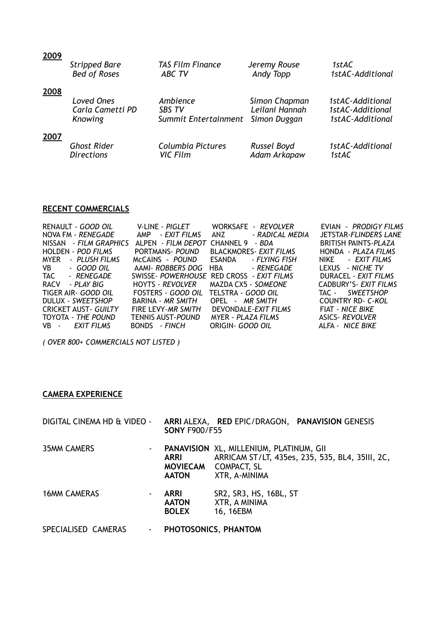| 2009 | <b>Stripped Bare</b> | <b>TAS Film Finance</b> | Jeremy Rouse   | 1stAC            |
|------|----------------------|-------------------------|----------------|------------------|
|      | <b>Bed of Roses</b>  | <b>ABC TV</b>           | Andy Topp      | 1stAC-Additional |
| 2008 | Loved Ones           | Ambience                | Simon Chapman  | 1stAC-Additional |
|      | Carla Cametti PD     | SBS TV                  | Leilani Hannah | 1stAC-Additional |
|      | Knowing              | Summit Entertainment    | Simon Duggan   | 1stAC-Additional |
| 2007 | <b>Ghost Rider</b>   | Columbia Pictures       | Russel Boyd    | 1stAC-Additional |
|      | <b>Directions</b>    | <b>VIC Film</b>         | Adam Arkapaw   | 1stAC            |

### **RECENT COMMERCIALS**

| RENAULT - GOOD OIL                                                                                                                                                                                                                           | V-LINE - <i>PIGLET</i> | WORKSAFE - REVOLVER           | EVIAN - PRODIGY FILMS       |
|----------------------------------------------------------------------------------------------------------------------------------------------------------------------------------------------------------------------------------------------|------------------------|-------------------------------|-----------------------------|
| NOVA FM - RENEGADE                                                                                                                                                                                                                           | AMP - EXIT FILMS       | - RADICAL MEDIA<br>ANZ        | JETSTAR-FLINDERS LANE       |
| NISSAN - FILM GRAPHICS                                                                                                                                                                                                                       | ALPEN - FILM DEPOT     | CHANNEL 9<br>- BDA            | <b>BRITISH PAINTS-PLAZA</b> |
| HOLDEN - POD FILMS                                                                                                                                                                                                                           | PORTMANS- POUND        | <b>BLACKMORES- EXIT FILMS</b> | HONDA - PLAZA FILMS         |
| - PLUSH FILMS<br>MYER                                                                                                                                                                                                                        | MCCAINS - POUND        | ESANDA - FLYING FISH          | NIKE - EXIT FILMS           |
| - GOOD OIL<br>VB and the set of the set of the set of the set of the set of the set of the set of the set of the set of the set of the set of the set of the set of the set of the set of the set of the set of the set of the set of the se | AAMI- ROBBERS DOG      | - RENEGADE<br><b>HBA</b>      | LEXUS - NICHE TV            |
| TAC<br>- RENEGADE                                                                                                                                                                                                                            | SWISSE- POWERHOUSE     | RED CROSS - EXIT FILMS        | DURACEL - EXIT FILMS        |
| <b>RACV</b><br>- PLAY BIG                                                                                                                                                                                                                    | HOYTS - REVOLVER       | MAZDA CX5 - SOMEONE           | CADBURY'S- EXIT FILMS       |
| TIGER AIR- GOOD OIL                                                                                                                                                                                                                          | FOSTERS - GOOD OIL     | TELSTRA <i>- GOOD OIL</i>     | TAC - SWEETSHOP             |
| DULUX - SWEETSHOP                                                                                                                                                                                                                            | BARINA - MR SMITH      | OPEL - MR SMITH               | COUNTRY RD- C-KOL           |
| <b>CRICKET AUST- GUILTY</b>                                                                                                                                                                                                                  | FIRE LEVY-MR SMITH     | DEVONDALE-EXIT FILMS          | FIAT - NICE BIKE            |
| TOYOTA - THE POUND                                                                                                                                                                                                                           | TENNIS AUST-POUND      | MYER - PLAZA FILMS            | <b>ASICS- REVOLVER</b>      |
| VB - EXIT FILMS                                                                                                                                                                                                                              | BONDS - FINCH          | ORIGIN- <i>GOOD OIL</i>       | ALFA - NICE BIKE            |

*( OVER 800+ COMMERCIALS NOT LISTED )* 

#### **CAMERA EXPERIENCE**

| DIGITAL CINEMA HD & VIDEO - | <b>SONY F900/F55</b>                        | ARRI ALEXA, RED EPIC/DRAGON, PANAVISION GENESIS                                         |                                                 |
|-----------------------------|---------------------------------------------|-----------------------------------------------------------------------------------------|-------------------------------------------------|
| <b>35MM CAMERS</b><br>۰.    | <b>ARRI</b><br><b>AATON</b>                 | <b>PANAVISION XL, MILLENIUM, PLATINUM, GII</b><br>MOVIECAM COMPACT, SL<br>XTR, A-MINIMA | ARRICAM ST/LT, 435es, 235, 535, BL4, 35III, 2C, |
| <b>16MM CAMERAS</b>         | <b>ARRI</b><br><b>AATON</b><br><b>BOLEX</b> | SR2, SR3, HS, 16BL, ST<br>XTR, A MINIMA<br>16, 16EBM                                    |                                                 |
| SPECIALISED CAMERAS<br>٠    |                                             | PHOTOSONICS, PHANTOM                                                                    |                                                 |